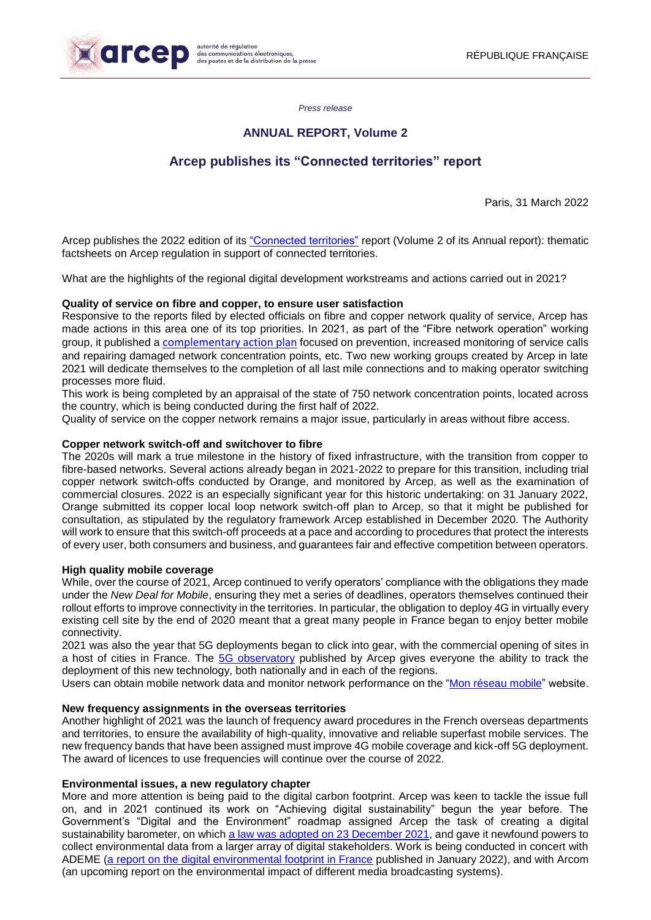

*Press release*

## **ANNUAL REPORT, Volume 2**

# **Arcep publishes its "Connected territories" report**

Paris, 31 March 2022

Arcep publishes the 2022 edition of its ["Connected territories"](https://www.arcep.fr/uploads/tx_gspublication/RA2022-TOME2-territoires-connectes_mars2022.pdf) report (Volume 2 of its Annual report): thematic factsheets on Arcep regulation in support of connected territories.

What are the highlights of the regional digital development workstreams and actions carried out in 2021?

## **Quality of service on fibre and copper, to ensure user satisfaction**

Responsive to the reports filed by elected officials on fibre and copper network quality of service, Arcep has made actions in this area one of its top priorities. In 2021, as part of the "Fibre network operation" working group, it published a [complementary action plan](https://en.arcep.fr/news/press-releases/view/n/optical-fibre-251121.html) focused on prevention, increased monitoring of service calls and repairing damaged network concentration points, etc. Two new working groups created by Arcep in late 2021 will dedicate themselves to the completion of all last mile connections and to making operator switching processes more fluid.

This work is being completed by an appraisal of the state of 750 network concentration points, located across the country, which is being conducted during the first half of 2022.

Quality of service on the copper network remains a major issue, particularly in areas without fibre access.

## **Copper network switch-off and switchover to fibre**

The 2020s will mark a true milestone in the history of fixed infrastructure, with the transition from copper to fibre-based networks. Several actions already began in 2021-2022 to prepare for this transition, including trial copper network switch-offs conducted by Orange, and monitored by Arcep, as well as the examination of commercial closures. 2022 is an especially significant year for this historic undertaking: on 31 January 2022, Orange submitted its copper local loop network switch-off plan to Arcep, so that it might be published for consultation, as stipulated by the regulatory framework Arcep established in December 2020. The Authority will work to ensure that this switch-off proceeds at a pace and according to procedures that protect the interests of every user, both consumers and business, and guarantees fair and effective competition between operators.

## **High quality mobile coverage**

While, over the course of 2021, Arcep continued to verify operators' compliance with the obligations they made under the *New Deal for Mobile*, ensuring they met a series of deadlines, operators themselves continued their rollout efforts to improve connectivity in the territories. In particular, the obligation to deploy 4G in virtually every existing cell site by the end of 2020 meant that a great many people in France began to enjoy better mobile connectivity.

2021 was also the year that 5G deployments began to click into gear, with the commercial opening of sites in a host of cities in France. The [5G](https://www.arcep.fr/cartes-et-donnees/nos-cartes/deploiement-5g/observatoire-du-deploiement-5g-decembre-2021.html) observatory published by Arcep gives everyone the ability to track the deployment of this new technology, both nationally and in each of the regions.

Users can obtain mobile network data and monitor network performance on the ["Mon réseau mobile"](https://monreseaumobile.arcep.fr/) website.

## **New frequency assignments in the overseas territories**

Another highlight of 2021 was the launch of frequency award procedures in the French overseas departments and territories, to ensure the availability of high-quality, innovative and reliable superfast mobile services. The new frequency bands that have been assigned must improve 4G mobile coverage and kick-off 5G deployment. The award of licences to use frequencies will continue over the course of 2022.

## **Environmental issues, a new regulatory chapter**

More and more attention is being paid to the digital carbon footprint. Arcep was keen to tackle the issue full on, and in 2021 continued its work on "Achieving digital sustainability" begun the year before. The Government's "Digital and the Environment" roadmap assigned Arcep the task of creating a digital sustainability barometer, on which [a law was adopted on](https://www.legifrance.gouv.fr/jorf/id/JORFTEXT000044553569) 23 December 2021, and gave it newfound powers to collect environmental data from a larger array of digital stakeholders. Work is being conducted in concert with ADEME (a [report on the digital environmental footprint in France](https://en.arcep.fr/news/press-releases/view/n/the-environment-190122.html) published in January 2022), and with Arcom (an upcoming report on the environmental impact of different media broadcasting systems).